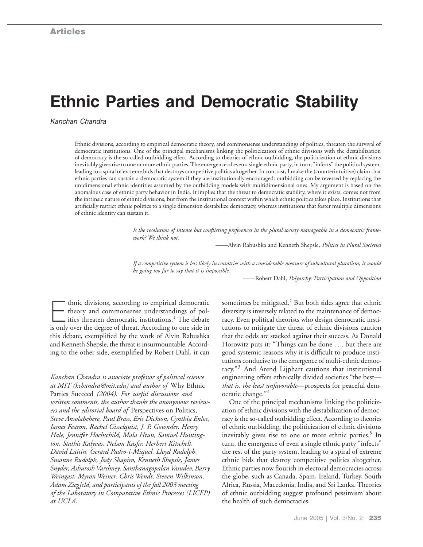# **Ethnic Parties and Democratic Stability**

*Kanchan Chandra*

Ethnic divisions, according to empirical democratic theory, and commonsense understandings of politics, threaten the survival of democratic institutions. One of the principal mechanisms linking the politicization of ethnic divisions with the destabilization of democracy is the so-called outbidding effect. According to theories of ethnic outbidding, the politicization of ethnic divisions inevitably gives rise to one or more ethnic parties. The emergence of even a single ethnic party, in turn, "infects" the political system, leading to a spiral of extreme bids that destroys competitive politics altogether. In contrast, I make the (counterintuitive) claim that ethnic parties can sustain a democratic system if they are institutionally encouraged: outbidding can be reversed by replacing the unidimensional ethnic identities assumed by the outbidding models with multidimensional ones. My argument is based on the anomalous case of ethnic party behavior in India. It implies that the threat to democratic stability, where it exists, comes not from the intrinsic nature of ethnic divisions, but from the institutional context within which ethnic politics takes place. Institutions that artificially restrict ethnic politics to a single dimension destabilize democracy, whereas institutions that foster multiple dimensions of ethnic identity can sustain it.

> *Is the resolution of intense but conflicting preferences in the plural society manageable in a democratic framework? We think not.*

> > ——Alvin Rabushka and Kenneth Shepsle, *Politics in Plural Societies*

*If a competitive system is less likely in countries with a considerable measure of subcultural pluralism, it would be going too far to say that it is impossible.*

——Robert Dahl, *Polyarchy: Participation and Opposition*

thnic divisions, according to empirical democratic<br>theory and commonsense understandings of pol-<br>itics threaten democratic institutions.<sup>1</sup> The debate<br>is only over the degree of threat, According to one side in theory and commonsense understandings of polis only over the degree of threat. According to one side in this debate, exemplified by the work of Alvin Rabushka and Kenneth Shepsle, the threat is insurmountable. According to the other side, exemplified by Robert Dahl, it can

*Kanchan Chandra is associate professor of political science at MIT (kchandra@mit.edu) and author of* Why Ethnic Parties Succeed *(2004). For useful discussions and written comments, the author thanks the anonymous reviewers and the editorial board of* Perspectives on Politics, *Steve Ansolabehere, Paul Brass, Eric Dickson, Cynthia Enloe, James Fearon, Rachel Gisselquist, J. P. Gownder, Henry Hale, Jennifer Hochschild, Mala Htun, Samuel Huntington, Stathis Kalyvas, Nelson Kasfir, Herbert Kitschelt, David Laitin, Gerard Padro-i-Miquel, Lloyd Rudolph, Susanne Rudolph, Jody Shapiro, Kenneth Shepsle, James Snyder, Ashutosh Varshney, Santhanagopalan Vasudev, Barry Weingast, Myron Weiner, Chris Wendt, Steven Wilkinson, Adam Ziegfeld, and participants of the fall 2003 meeting of the Laboratory in Comparative Ethnic Processes (LICEP) at UCLA.*

sometimes be mitigated. $2$  But both sides agree that ethnic diversity is inversely related to the maintenance of democracy. Even political theorists who design democratic institutions to mitigate the threat of ethnic divisions caution that the odds are stacked against their success. As Donald Horowitz puts it: "Things can be done . . . but there are good systemic reasons why it is difficult to produce institutions conducive to the emergence of multi-ethnic democracy."<sup>3</sup> And Arend Lijphart cautions that institutional engineering offers ethnically divided societies "the best *that is, the least unfavorable*—prospects for peaceful democratic change."<sup>4</sup>

One of the principal mechanisms linking the politicization of ethnic divisions with the destabilization of democracy is the so-called outbidding effect. According to theories of ethnic outbidding, the politicization of ethnic divisions inevitably gives rise to one or more ethnic parties.<sup>5</sup> In turn, the emergence of even a single ethnic party "infects" the rest of the party system, leading to a spiral of extreme ethnic bids that destroy competitive politics altogether. Ethnic parties now flourish in electoral democracies across the globe, such as Canada, Spain, Ireland, Turkey, South Africa, Russia, Macedonia, India, and Sri Lanka. Theories of ethnic outbidding suggest profound pessimism about the health of such democracies.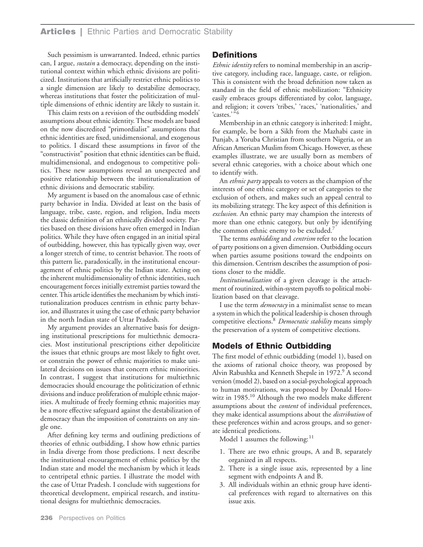Such pessimism is unwarranted. Indeed, ethnic parties can, I argue, *sustain* a democracy, depending on the institutional context within which ethnic divisions are politicized. Institutions that artificially restrict ethnic politics to a single dimension are likely to destabilize democracy, whereas institutions that foster the politicization of multiple dimensions of ethnic identity are likely to sustain it.

This claim rests on a revision of the outbidding models' assumptions about ethnic identity. These models are based on the now discredited "primordialist" assumptions that ethnic identities are fixed, unidimensional, and exogenous to politics. I discard these assumptions in favor of the "constructivist" position that ethnic identities can be fluid, multidimensional, and endogenous to competitive politics. These new assumptions reveal an unexpected and positive relationship between the institutionalization of ethnic divisions and democratic stability.

My argument is based on the anomalous case of ethnic party behavior in India. Divided at least on the basis of language, tribe, caste, region, and religion, India meets the classic definition of an ethnically divided society. Parties based on these divisions have often emerged in Indian politics. While they have often engaged in an initial spiral of outbidding, however, this has typically given way, over a longer stretch of time, to centrist behavior. The roots of this pattern lie, paradoxically, in the institutional encouragement of ethnic politics by the Indian state. Acting on the inherent multidimensionality of ethnic identities, such encouragement forces initially extremist parties toward the center. This article identifies the mechanism by which institutionalization produces centrism in ethnic party behavior, and illustrates it using the case of ethnic party behavior in the north Indian state of Uttar Pradesh.

My argument provides an alternative basis for designing institutional prescriptions for multiethnic democracies. Most institutional prescriptions either depoliticize the issues that ethnic groups are most likely to fight over, or constrain the power of ethnic majorities to make unilateral decisions on issues that concern ethnic minorities. In contrast, I suggest that institutions for multiethnic democracies should encourage the politicization of ethnic divisions and induce proliferation of multiple ethnic majorities. A multitude of freely forming ethnic majorities may be a more effective safeguard against the destabilization of democracy than the imposition of constraints on any single one.

After defining key terms and outlining predictions of theories of ethnic outbidding, I show how ethnic parties in India diverge from those predictions. I next describe the institutional encouragement of ethnic politics by the Indian state and model the mechanism by which it leads to centripetal ethnic parties. I illustrate the model with the case of Uttar Pradesh. I conclude with suggestions for theoretical development, empirical research, and institutional designs for multiethnic democracies.

# **Definitions**

*Ethnic identity* refers to nominal membership in an ascriptive category, including race, language, caste, or religion. This is consistent with the broad definition now taken as standard in the field of ethnic mobilization: "Ethnicity easily embraces groups differentiated by color, language, and religion; it covers 'tribes,' 'races,' 'nationalities,' and 'castes.'"<sup>6</sup>

Membership in an ethnic category is inherited: I might, for example, be born a Sikh from the Mazhabi caste in Punjab, a Yoruba Christian from southern Nigeria, or an African American Muslim from Chicago. However, as these examples illustrate, we are usually born as members of several ethnic categories, with a choice about which one to identify with.

An *ethnic party* appeals to voters as the champion of the interests of one ethnic category or set of categories to the exclusion of others, and makes such an appeal central to its mobilizing strategy. The key aspect of this definition is *exclusion.* An ethnic party may champion the interests of more than one ethnic category, but only by identifying the common ethnic enemy to be excluded.<sup>7</sup>

The terms *outbidding* and *centrism* refer to the location of party positions on a given dimension. Outbidding occurs when parties assume positions toward the endpoints on this dimension. Centrism describes the assumption of positions closer to the middle.

*Institutionalization* of a given cleavage is the attachment of routinized, within-system payoffs to political mobilization based on that cleavage.

I use the term *democracy* in a minimalist sense to mean a system in which the political leadership is chosen through competitive elections.8 *Democratic stability* means simply the preservation of a system of competitive elections.

# **Models of Ethnic Outbidding**

The first model of ethnic outbidding (model 1), based on the axioms of rational choice theory, was proposed by Alvin Rabushka and Kenneth Shepsle in 1972.<sup>9</sup> A second version (model 2), based on a social-psychological approach to human motivations, was proposed by Donald Horowitz in 1985.<sup>10</sup> Although the two models make different assumptions about the *content* of individual preferences, they make identical assumptions about the *distribution* of these preferences within and across groups, and so generate identical predictions.

Model 1 assumes the following: $11$ 

- 1. There are two ethnic groups, A and B, separately organized in all respects.
- 2. There is a single issue axis, represented by a line segment with endpoints A and B.
- 3. All individuals within an ethnic group have identical preferences with regard to alternatives on this issue axis.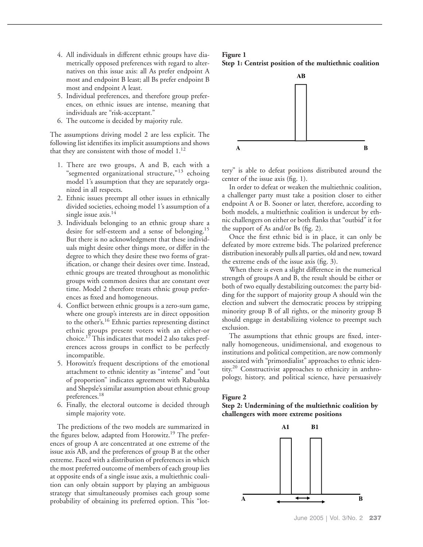- 4. All individuals in different ethnic groups have diametrically opposed preferences with regard to alternatives on this issue axis: all As prefer endpoint A most and endpoint B least; all Bs prefer endpoint B most and endpoint A least.
- 5. Individual preferences, and therefore group preferences, on ethnic issues are intense, meaning that individuals are "risk-acceptant."
- 6. The outcome is decided by majority rule.

The assumptions driving model 2 are less explicit. The following list identifies its implicit assumptions and shows that they are consistent with those of model 1.<sup>12</sup>

- 1. There are two groups, A and B, each with a "segmented organizational structure,"<sup>13</sup> echoing model 1's assumption that they are separately organized in all respects.
- 2. Ethnic issues preempt all other issues in ethnically divided societies, echoing model 1's assumption of a single issue axis.<sup>14</sup>
- 3. Individuals belonging to an ethnic group share a desire for self-esteem and a sense of belonging.15 But there is no acknowledgment that these individuals might desire other things more, or differ in the degree to which they desire these two forms of gratification, or change their desires over time. Instead, ethnic groups are treated throughout as monolithic groups with common desires that are constant over time. Model 2 therefore treats ethnic group preferences as fixed and homogeneous.
- 4. Conflict between ethnic groups is a zero-sum game, where one group's interests are in direct opposition to the other's.16 Ethnic parties representing distinct ethnic groups present voters with an either-or choice.<sup>17</sup> This indicates that model 2 also takes preferences across groups in conflict to be perfectly incompatible.
- 5. Horowitz's frequent descriptions of the emotional attachment to ethnic identity as "intense" and "out of proportion" indicates agreement with Rabushka and Shepsle's similar assumption about ethnic group preferences.18
- 6. Finally, the electoral outcome is decided through simple majority vote.

The predictions of the two models are summarized in the figures below, adapted from Horowitz.<sup>19</sup> The preferences of group A are concentrated at one extreme of the issue axis AB, and the preferences of group B at the other extreme. Faced with a distribution of preferences in which the most preferred outcome of members of each group lies at opposite ends of a single issue axis, a multiethnic coalition can only obtain support by playing an ambiguous strategy that simultaneously promises each group some probability of obtaining its preferred option. This "lot-

## **Figure 1 Step 1: Centrist position of the multiethnic coalition**



tery" is able to defeat positions distributed around the center of the issue axis (fig. 1).

In order to defeat or weaken the multiethnic coalition, a challenger party must take a position closer to either endpoint A or B. Sooner or later, therefore, according to both models, a multiethnic coalition is undercut by ethnic challengers on either or both flanks that "outbid" it for the support of As and/or Bs (fig. 2).

Once the first ethnic bid is in place, it can only be defeated by more extreme bids. The polarized preference distribution inexorably pulls all parties, old and new, toward the extreme ends of the issue axis (fig. 3).

When there is even a slight difference in the numerical strength of groups A and B, the result should be either or both of two equally destabilizing outcomes: the party bidding for the support of majority group A should win the election and subvert the democratic process by stripping minority group B of all rights, or the minority group B should engage in destabilizing violence to preempt such exclusion.

The assumptions that ethnic groups are fixed, internally homogeneous, unidimensional, and exogenous to institutions and political competition, are now commonly associated with "primordialist" approaches to ethnic identity.20 Constructivist approaches to ethnicity in anthropology, history, and political science, have persuasively

#### **Figure 2**

**Step 2: Undermining of the multiethnic coalition by challengers with more extreme positions**

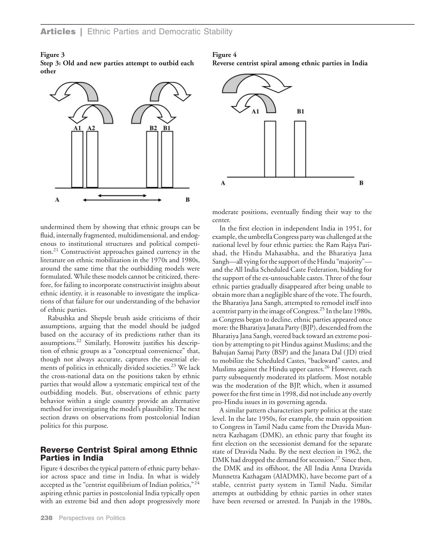### **Figure 3**

**Step 3: Old and new parties attempt to outbid each other**



#### **Figure 4**

**Reverse centrist spiral among ethnic parties in India**



undermined them by showing that ethnic groups can be fluid, internally fragmented, multidimensional, and endogenous to institutional structures and political competition.21 Constructivist approaches gained currency in the literature on ethnic mobilization in the 1970s and 1980s, around the same time that the outbidding models were formulated. While these models cannot be criticized, therefore, for failing to incorporate constructivist insights about ethnic identity, it is reasonable to investigate the implications of that failure for our understanding of the behavior of ethnic parties.

Rabushka and Shepsle brush aside criticisms of their assumptions, arguing that the model should be judged based on the accuracy of its predictions rather than its assumptions.22 Similarly, Horowitz justifies his description of ethnic groups as a "conceptual convenience" that, though not always accurate, captures the essential elements of politics in ethnically divided societies.<sup>23</sup> We lack the cross-national data on the positions taken by ethnic parties that would allow a systematic empirical test of the outbidding models. But, observations of ethnic party behavior within a single country provide an alternative method for investigating the model's plausibility. The next section draws on observations from postcolonial Indian politics for this purpose.

# **Reverse Centrist Spiral among Ethnic Parties in India**

Figure 4 describes the typical pattern of ethnic party behavior across space and time in India. In what is widely accepted as the "centrist equilibrium of Indian politics,"<sup>24</sup> aspiring ethnic parties in postcolonial India typically open with an extreme bid and then adopt progressively more moderate positions, eventually finding their way to the center.

In the first election in independent India in 1951, for example, the umbrella Congress party was challenged at the national level by four ethnic parties: the Ram Rajya Parishad, the Hindu Mahasabha, and the Bharatiya Jana Sangh—all vying for the support of the Hindu "majority" and the All India Scheduled Caste Federation, bidding for the support of the ex-untouchable castes. Three of the four ethnic parties gradually disappeared after being unable to obtain more than a negligible share of the vote.The fourth, the Bharatiya Jana Sangh, attempted to remodel itself into a centrist party in the image of Congress.25 In the late 1980s, as Congress began to decline, ethnic parties appeared once more: the Bharatiya Janata Party (BJP), descended from the Bharatiya Jana Sangh, veered back toward an extreme position by attempting to pit Hindus against Muslims; and the Bahujan Samaj Party (BSP) and the Janata Dal ( JD) tried to mobilize the Scheduled Castes, "backward" castes, and Muslims against the Hindu upper castes.<sup>26</sup> However, each party subsequently moderated its platform. Most notable was the moderation of the BJP, which, when it assumed power for the first time in 1998, did not include any overtly pro-Hindu issues in its governing agenda.

A similar pattern characterizes party politics at the state level. In the late 1950s, for example, the main opposition to Congress in Tamil Nadu came from the Dravida Munnetra Kazhagam (DMK), an ethnic party that fought its first election on the secessionist demand for the separate state of Dravida Nadu. By the next election in 1962, the DMK had dropped the demand for secession.<sup>27</sup> Since then, the DMK and its offshoot, the All India Anna Dravida Munnetra Kazhagam (AIADMK), have become part of a stable, centrist party system in Tamil Nadu. Similar attempts at outbidding by ethnic parties in other states have been reversed or arrested. In Punjab in the 1980s,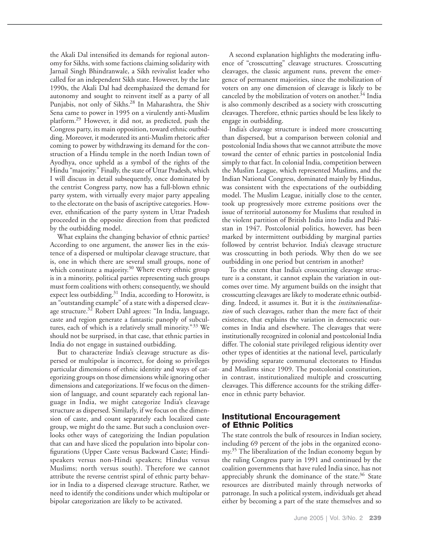the Akali Dal intensified its demands for regional autonomy for Sikhs, with some factions claiming solidarity with Jarnail Singh Bhindranwale, a Sikh revivalist leader who called for an independent Sikh state. However, by the late 1990s, the Akali Dal had deemphasized the demand for autonomy and sought to reinvent itself as a party of all Punjabis, not only of Sikhs.<sup>28</sup> In Maharashtra, the Shiv Sena came to power in 1995 on a virulently anti-Muslim platform.29 However, it did not, as predicted, push the Congress party, its main opposition, toward ethnic outbidding. Moreover, it moderated its anti-Muslim rhetoric after coming to power by withdrawing its demand for the construction of a Hindu temple in the north Indian town of Ayodhya, once upheld as a symbol of the rights of the Hindu "majority." Finally, the state of Uttar Pradesh, which I will discuss in detail subsequently, once dominated by the centrist Congress party, now has a full-blown ethnic party system, with virtually every major party appealing to the electorate on the basis of ascriptive categories. However, ethnification of the party system in Uttar Pradesh proceeded in the opposite direction from that predicted by the outbidding model.

What explains the changing behavior of ethnic parties? According to one argument, the answer lies in the existence of a dispersed or multipolar cleavage structure, that is, one in which there are several small groups, none of which constitute a majority.<sup>30</sup> Where every ethnic group is in a minority, political parties representing such groups must form coalitions with others; consequently, we should expect less outbidding.<sup>31</sup> India, according to Horowitz, is an "outstanding example" of a state with a dispersed cleavage structure. $3^2$  Robert Dahl agrees: "In India, language, caste and region generate a fantastic panoply of subcultures, each of which is a relatively small minority."<sup>33</sup> We should not be surprised, in that case, that ethnic parties in India do not engage in sustained outbidding.

But to characterize India's cleavage structure as dispersed or multipolar is incorrect, for doing so privileges particular dimensions of ethnic identity and ways of categorizing groups on those dimensions while ignoring other dimensions and categorizations. If we focus on the dimension of language, and count separately each regional language in India, we might categorize India's cleavage structure as dispersed. Similarly, if we focus on the dimension of caste, and count separately each localized caste group, we might do the same. But such a conclusion overlooks other ways of categorizing the Indian population that can and have sliced the population into bipolar configurations (Upper Caste versus Backward Caste; Hindispeakers versus non-Hindi speakers; Hindus versus Muslims; north versus south). Therefore we cannot attribute the reverse centrist spiral of ethnic party behavior in India to a dispersed cleavage structure. Rather, we need to identify the conditions under which multipolar or bipolar categorization are likely to be activated.

A second explanation highlights the moderating influence of "crosscutting" cleavage structures. Crosscutting cleavages, the classic argument runs, prevent the emergence of permanent majorities, since the mobilization of voters on any one dimension of cleavage is likely to be canceled by the mobilization of voters on another. $34$  India is also commonly described as a society with crosscutting cleavages. Therefore, ethnic parties should be less likely to engage in outbidding.

India's cleavage structure is indeed more crosscutting than dispersed, but a comparison between colonial and postcolonial India shows that we cannot attribute the move toward the center of ethnic parties in postcolonial India simply to that fact. In colonial India, competition between the Muslim League, which represented Muslims, and the Indian National Congress, dominated mainly by Hindus, was consistent with the expectations of the outbidding model. The Muslim League, initially close to the center, took up progressively more extreme positions over the issue of territorial autonomy for Muslims that resulted in the violent partition of British India into India and Pakistan in 1947. Postcolonial politics, however, has been marked by intermittent outbidding by marginal parties followed by centrist behavior. India's cleavage structure was crosscutting in both periods. Why then do we see outbidding in one period but centrism in another?

To the extent that India's crosscutting cleavage structure is a constant, it cannot explain the variation in outcomes over time. My argument builds on the insight that crosscutting cleavages are likely to moderate ethnic outbidding. Indeed, it assumes it. But it is the *institutionalization* of such cleavages, rather than the mere fact of their existence, that explains the variation in democratic outcomes in India and elsewhere. The cleavages that were institutionally recognized in colonial and postcolonial India differ. The colonial state privileged religious identity over other types of identities at the national level, particularly by providing separate communal electorates to Hindus and Muslims since 1909. The postcolonial constitution, in contrast, institutionalized multiple and crosscutting cleavages. This difference accounts for the striking difference in ethnic party behavior.

# **Institutional Encouragement of Ethnic Politics**

The state controls the bulk of resources in Indian society, including 69 percent of the jobs in the organized economy.<sup>35</sup> The liberalization of the Indian economy begun by the ruling Congress party in 1991 and continued by the coalition governments that have ruled India since, has not appreciably shrunk the dominance of the state.<sup>36</sup> State resources are distributed mainly through networks of patronage. In such a political system, individuals get ahead either by becoming a part of the state themselves and so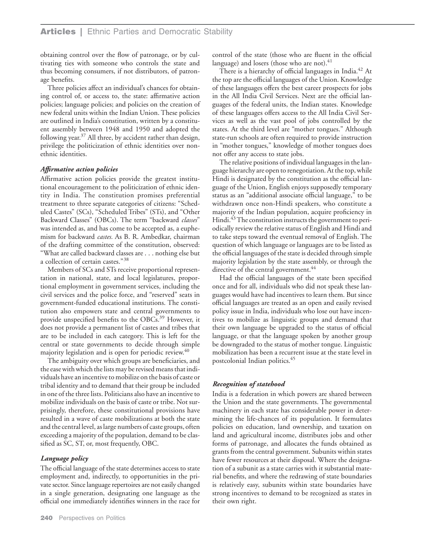obtaining control over the flow of patronage, or by cultivating ties with someone who controls the state and thus becoming consumers, if not distributors, of patronage benefits.

Three policies affect an individual's chances for obtaining control of, or access to, the state: affirmative action policies; language policies; and policies on the creation of new federal units within the Indian Union. These policies are outlined in India's constitution, written by a constituent assembly between 1948 and 1950 and adopted the following year.<sup>37</sup> All three, by accident rather than design, privilege the politicization of ethnic identities over nonethnic identities.

### *Affirmative action policies*

Affirmative action policies provide the greatest institutional encouragement to the politicization of ethnic identity in India. The constitution promises preferential treatment to three separate categories of citizens: "Scheduled Castes" (SCs), "Scheduled Tribes" (STs), and "Other Backward Classes" (OBCs). The term "backward *classes*" was intended as, and has come to be accepted as, a euphemism for backward *castes.* As B. R. Ambedkar, chairman of the drafting committee of the constitution, observed: "What are called backward classes are . . . nothing else but a collection of certain castes."<sup>38</sup>

Members of SCs and STs receive proportional representation in national, state, and local legislatures, proportional employment in government services, including the civil services and the police force, and "reserved" seats in government-funded educational institutions. The constitution also empowers state and central governments to provide unspecified benefits to the OBCs.<sup>39</sup> However, it does not provide a permanent list of castes and tribes that are to be included in each category. This is left for the central or state governments to decide through simple majority legislation and is open for periodic review.<sup>40</sup>

The ambiguity over which groups are beneficiaries, and the ease with which the lists may be revised means that individuals have an incentive to mobilize on the basis of caste or tribal identity and to demand that their group be included in one of the three lists. Politicians also have an incentive to mobilize individuals on the basis of caste or tribe. Not surprisingly, therefore, these constitutional provisions have resulted in a wave of caste mobilizations at both the state and the central level, as large numbers of caste groups, often exceeding a majority of the population, demand to be classified as SC, ST, or, most frequently, OBC.

#### *Language policy*

The official language of the state determines access to state employment and, indirectly, to opportunities in the private sector. Since language repertoires are not easily changed in a single generation, designating one language as the official one immediately identifies winners in the race for

control of the state (those who are fluent in the official language) and losers (those who are not). $41$ 

There is a hierarchy of official languages in India.<sup>42</sup> At the top are the official languages of the Union. Knowledge of these languages offers the best career prospects for jobs in the All India Civil Services. Next are the official languages of the federal units, the Indian states. Knowledge of these languages offers access to the All India Civil Services as well as the vast pool of jobs controlled by the states. At the third level are "mother tongues." Although state-run schools are often required to provide instruction in "mother tongues," knowledge of mother tongues does not offer any access to state jobs.

The relative positions of individual languages in the language hierarchy are open to renegotiation. At the top, while Hindi is designated by the constitution as the official language of the Union, English enjoys supposedly temporary status as an "additional associate official language," to be withdrawn once non-Hindi speakers, who constitute a majority of the Indian population, acquire proficiency in Hindi.<sup>43</sup> The constitution instructs the government to periodically review the relative status of English and Hindi and to take steps toward the eventual removal of English. The question of which language or languages are to be listed as the official languages of the state is decided through simple majority legislation by the state assembly, or through the directive of the central government.<sup>44</sup>

Had the official languages of the state been specified once and for all, individuals who did not speak these languages would have had incentives to learn them. But since official languages are treated as an open and easily revised policy issue in India, individuals who lose out have incentives to mobilize as linguistic groups and demand that their own language be upgraded to the status of official language, or that the language spoken by another group be downgraded to the status of mother tongue. Linguistic mobilization has been a recurrent issue at the state level in postcolonial Indian politics.45

#### *Recognition of statehood*

India is a federation in which powers are shared between the Union and the state governments. The governmental machinery in each state has considerable power in determining the life-chances of its population. It formulates policies on education, land ownership, and taxation on land and agricultural income, distributes jobs and other forms of patronage, and allocates the funds obtained as grants from the central government. Subunits within states have fewer resources at their disposal. Where the designation of a subunit as a state carries with it substantial material benefits, and where the redrawing of state boundaries is relatively easy, subunits within state boundaries have strong incentives to demand to be recognized as states in their own right.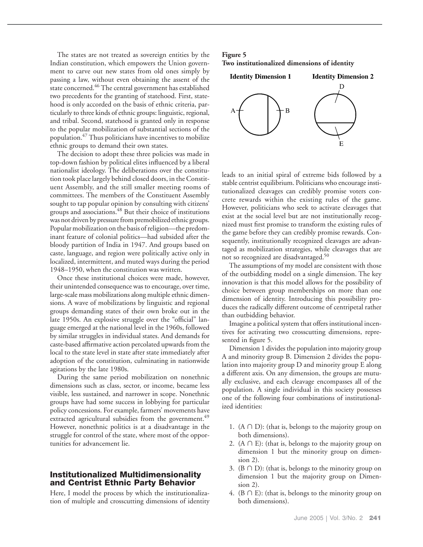The states are not treated as sovereign entities by the Indian constitution, which empowers the Union government to carve out new states from old ones simply by passing a law, without even obtaining the assent of the state concerned.<sup>46</sup> The central government has established two precedents for the granting of statehood. First, statehood is only accorded on the basis of ethnic criteria, particularly to three kinds of ethnic groups: linguistic, regional, and tribal. Second, statehood is granted only in response to the popular mobilization of substantial sections of the population.47 Thus politicians have incentives to mobilize ethnic groups to demand their own states.

The decision to adopt these three policies was made in top-down fashion by political elites influenced by a liberal nationalist ideology. The deliberations over the constitution took place largely behind closed doors, in the Constituent Assembly, and the still smaller meeting rooms of committees. The members of the Constituent Assembly sought to tap popular opinion by consulting with citizens' groups and associations.48 But their choice of institutions was not driven by pressure from premobilized ethnic groups. Popular mobilization on the basis of religion—the predominant feature of colonial politics—had subsided after the bloody partition of India in 1947. And groups based on caste, language, and region were politically active only in localized, intermittent, and muted ways during the period 1948–1950, when the constitution was written.

Once these institutional choices were made, however, their unintended consequence was to encourage, over time, large-scale mass mobilizations along multiple ethnic dimensions. A wave of mobilizations by linguistic and regional groups demanding states of their own broke out in the late 1950s. An explosive struggle over the "official" language emerged at the national level in the 1960s, followed by similar struggles in individual states. And demands for caste-based affirmative action percolated upwards from the local to the state level in state after state immediately after adoption of the constitution, culminating in nationwide agitations by the late 1980s.

During the same period mobilization on nonethnic dimensions such as class, sector, or income, became less visible, less sustained, and narrower in scope. Nonethnic groups have had some success in lobbying for particular policy concessions. For example, farmers' movements have extracted agricultural subsidies from the government.<sup>49</sup> However, nonethnic politics is at a disadvantage in the struggle for control of the state, where most of the opportunities for advancement lie.

## **Institutionalized Multidimensionality and Centrist Ethnic Party Behavior**

Here, I model the process by which the institutionalization of multiple and crosscutting dimensions of identity

## **Figure 5 Two institutionalized dimensions of identity**



leads to an initial spiral of extreme bids followed by a stable centrist equilibrium. Politicians who encourage institutionalized cleavages can credibly promise voters concrete rewards within the existing rules of the game. However, politicians who seek to activate cleavages that exist at the social level but are not institutionally recognized must first promise to transform the existing rules of the game before they can credibly promise rewards. Consequently, institutionally recognized cleavages are advantaged as mobilization strategies, while cleavages that are not so recognized are disadvantaged.<sup>50</sup>

The assumptions of my model are consistent with those of the outbidding model on a single dimension. The key innovation is that this model allows for the possibility of choice between group memberships on more than one dimension of identity. Introducing this possibility produces the radically different outcome of centripetal rather than outbidding behavior.

Imagine a political system that offers institutional incentives for activating two crosscutting dimensions, represented in figure 5.

Dimension 1 divides the population into majority group A and minority group B. Dimension 2 divides the population into majority group D and minority group E along a different axis. On any dimension, the groups are mutually exclusive, and each cleavage encompasses all of the population. A single individual in this society possesses one of the following four combinations of institutionalized identities:

- 1.  $(A \cap D)$ : (that is, belongs to the majority group on both dimensions).
- 2.  $(A \cap E)$ : (that is, belongs to the majority group on dimension 1 but the minority group on dimension 2).
- 3. ( $B \cap D$ ): (that is, belongs to the minority group on dimension 1 but the majority group on Dimension 2).
- 4. ( $B \cap E$ ): (that is, belongs to the minority group on both dimensions).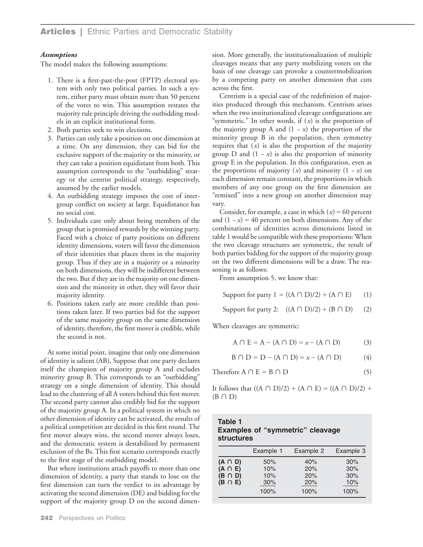## *Assumptions*

The model makes the following assumptions:

- 1. There is a first-past-the-post (FPTP) electoral system with only two political parties. In such a system, either party must obtain more than 50 percent of the votes to win. This assumption restates the majority rule principle driving the outbidding models in an explicit institutional form.
- 2. Both parties seek to win elections.
- 3. Parties can only take a position on one dimension at a time. On any dimension, they can bid for the exclusive support of the majority or the minority, or they can take a position equidistant from both. This assumption corresponds to the "outbidding" strategy or the centrist political strategy, respectively, assumed by the earlier models.
- 4. An outbidding strategy imposes the cost of intergroup conflict on society at large. Equidistance has no social cost.
- 5. Individuals care only about being members of the group that is promised rewards by the winning party. Faced with a choice of party positions on different identity dimensions, voters will favor the dimension of their identities that places them in the majority group. Thus if they are in a majority or a minority on both dimensions, they will be indifferent between the two. But if they are in the majority on one dimension and the minority in other, they will favor their majority identity.
- 6. Positions taken early are more credible than positions taken later. If two parties bid for the support of the same majority group on the same dimension of identity, therefore, the first mover is credible, while the second is not.

At some initial point, imagine that only one dimension of identity is salient (AB), Suppose that one party declares itself the champion of majority group A and excludes minority group B. This corresponds to an "outbidding" strategy on a single dimension of identity. This should lead to the clustering of all A voters behind this first mover. The second party cannot also credibly bid for the support of the majority group A. In a political system in which no other dimension of identity can be activated, the results of a political competition are decided in this first round. The first mover always wins, the second mover always loses, and the democratic system is destabilized by permanent exclusion of the Bs. This first scenario corresponds exactly to the first stage of the outbidding model.

But where institutions attach payoffs to more than one dimension of identity, a party that stands to lose on the first dimension can turn the verdict to its advantage by activating the second dimension (DE) and bidding for the support of the majority group D on the second dimension. More generally, the institutionalization of multiple cleavages means that any party mobilizing voters on the basis of one cleavage can provoke a countermobilization by a competing party on another dimension that cuts across the first.

Centrism is a special case of the redefinition of majorities produced through this mechanism. Centrism arises when the two institutionalized cleavage configurations are "symmetric." In other words, if (*x*) is the proportion of the majority group A and (1 *− x*) the proportion of the minority group B in the population, then symmetry requires that  $(x)$  is also the proportion of the majority group D and  $(1 - x)$  is also the proportion of minority group E in the population. In this configuration, even as the proportions of majority (*x*) and minority (1 *− x*) on each dimension remain constant, the proportions in which members of any one group on the first dimension are "remixed" into a new group on another dimension may vary.

Consider, for example, a case in which  $(x) = 60$  percent and  $(1 - x) = 40$  percent on both dimensions. Any of the combinations of identities across dimensions listed in table 1 would be compatible with these proportions: When the two cleavage structures are symmetric, the result of both parties bidding for the support of the majority group on the two different dimensions will be a draw. The reasoning is as follows:

From assumption 5, we know that:

Support for party  $1 = ((A \cap D)/2) + (A \cap E)$  (1)

Support for party 2:  $((A \cap D)/2) + (B \cap D)$  (2)

When cleavages are symmetric:

$$
A \cap E = A - (A \cap D) = x - (A \cap D)
$$
 (3)

$$
B \cap D = D - (A \cap D) = x - (A \cap D)
$$
 (4)

Therefore 
$$
A \cap E = B \cap D
$$
 (5)

It follows that  $((A \cap D)/2) + (A \cap E) = ((A \cap D)/2) +$  $(B \cap D)$ 

## **Table 1 Examples of "symmetric" cleavage structures**

|              | Example 1 | Example 2 | Example 3 |
|--------------|-----------|-----------|-----------|
| $(A \cap D)$ | 50%       | 40%       | 30%       |
| $(A \cap E)$ | 10%       | 20%       | 30%       |
| $(B \cap D)$ | 10%       | 20%       | 30%       |
| $(B \cap E)$ | 30%       | 20%       | 10%       |
|              | 100%      | 100%      | 100%      |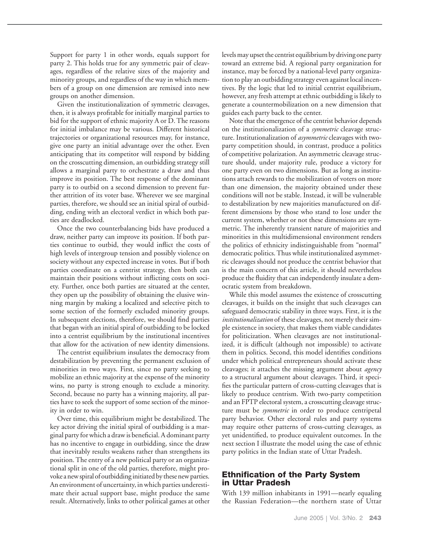Support for party 1 in other words, equals support for party 2. This holds true for any symmetric pair of cleavages, regardless of the relative sizes of the majority and minority groups, and regardless of the way in which members of a group on one dimension are remixed into new groups on another dimension.

Given the institutionalization of symmetric cleavages, then, it is always profitable for initially marginal parties to bid for the support of ethnic majority A or D. The reasons for initial imbalance may be various. Different historical trajectories or organizational resources may, for instance, give one party an initial advantage over the other. Even anticipating that its competitor will respond by bidding on the crosscutting dimension, an outbidding strategy still allows a marginal party to orchestrate a draw and thus improve its position. The best response of the dominant party is to outbid on a second dimension to prevent further attrition of its voter base. Wherever we see marginal parties, therefore, we should see an initial spiral of outbidding, ending with an electoral verdict in which both parties are deadlocked.

Once the two counterbalancing bids have produced a draw, neither party can improve its position. If both parties continue to outbid, they would inflict the costs of high levels of intergroup tension and possibly violence on society without any expected increase in votes. But if both parties coordinate on a centrist strategy, then both can maintain their positions without inflicting costs on society. Further, once both parties are situated at the center, they open up the possibility of obtaining the elusive winning margin by making a localized and selective pitch to some section of the formerly excluded minority groups. In subsequent elections, therefore, we should find parties that began with an initial spiral of outbidding to be locked into a centrist equilibrium by the institutional incentives that allow for the activation of new identity dimensions.

The centrist equilibrium insulates the democracy from destabilization by preventing the permanent exclusion of minorities in two ways. First, since no party seeking to mobilize an ethnic majority at the expense of the minority wins, no party is strong enough to exclude a minority. Second, because no party has a winning majority, all parties have to seek the support of some section of the minority in order to win.

Over time, this equilibrium might be destabilized. The key actor driving the initial spiral of outbidding is a marginal party for which a draw is beneficial. A dominant party has no incentive to engage in outbidding, since the draw that inevitably results weakens rather than strengthens its position. The entry of a new political party or an organizational split in one of the old parties, therefore, might provoke a new spiral of outbidding initiated by these new parties. An environment of uncertainty, in which parties underestimate their actual support base, might produce the same result. Alternatively, links to other political games at other

levels may upset the centrist equilibrium by driving one party toward an extreme bid. A regional party organization for instance, may be forced by a national-level party organization to play an outbidding strategy even against local incentives. By the logic that led to initial centrist equilibrium, however, any fresh attempt at ethnic outbidding is likely to generate a countermobilization on a new dimension that guides each party back to the center.

Note that the emergence of the centrist behavior depends on the institutionalization of a *symmetric* cleavage structure. Institutionalization of *asymmetric* cleavages with twoparty competition should, in contrast, produce a politics of competitive polarization. An asymmetric cleavage structure should, under majority rule, produce a victory for one party even on two dimensions. But as long as institutions attach rewards to the mobilization of voters on more than one dimension, the majority obtained under these conditions will not be stable. Instead, it will be vulnerable to destabilization by new majorities manufactured on different dimensions by those who stand to lose under the current system, whether or not these dimensions are symmetric. The inherently transient nature of majorities and minorities in this multidimensional environment renders the politics of ethnicity indistinguishable from "normal" democratic politics. Thus while institutionalized asymmetric cleavages should not produce the centrist behavior that is the main concern of this article, it should nevertheless produce the fluidity that can independently insulate a democratic system from breakdown.

While this model assumes the existence of crosscutting cleavages, it builds on the insight that such cleavages can safeguard democratic stability in three ways. First, it is the *institutionalization* of these cleavages, not merely their simple existence in society, that makes them viable candidates for politicization. When cleavages are not institutionalized, it is difficult (although not impossible) to activate them in politics. Second, this model identifies conditions under which political entrepreneurs should activate these cleavages; it attaches the missing argument about *agency* to a structural argument about cleavages. Third, it specifies the particular pattern of cross-cutting cleavages that is likely to produce centrism. With two-party competition and an FPTP electoral system, a crosscutting cleavage structure must be *symmetric* in order to produce centripetal party behavior. Other electoral rules and party systems may require other patterns of cross-cutting cleavages, as yet unidentified, to produce equivalent outcomes. In the next section I illustrate the model using the case of ethnic party politics in the Indian state of Uttar Pradesh.

## **Ethnification of the Party System in Uttar Pradesh**

With 139 million inhabitants in 1991—nearly equaling the Russian Federation—the northern state of Uttar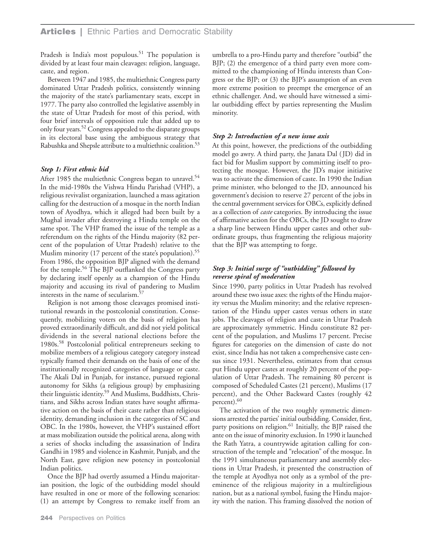Pradesh is India's most populous.<sup>51</sup> The population is divided by at least four main cleavages: religion, language, caste, and region.

Between 1947 and 1985, the multiethnic Congress party dominated Uttar Pradesh politics, consistently winning the majority of the state's parliamentary seats, except in 1977. The party also controlled the legislative assembly in the state of Uttar Pradesh for most of this period, with four brief intervals of opposition rule that added up to only four years.<sup>52</sup> Congress appealed to the disparate groups in its electoral base using the ambiguous strategy that Rabushka and Shepsle attribute to a multiethnic coalition.<sup>53</sup>

## *Step 1: First ethnic bid*

After 1985 the multiethnic Congress began to unravel.<sup>54</sup> In the mid-1980s the Vishwa Hindu Parishad (VHP), a religious revivalist organization, launched a mass agitation calling for the destruction of a mosque in the north Indian town of Ayodhya, which it alleged had been built by a Mughal invader after destroying a Hindu temple on the same spot. The VHP framed the issue of the temple as a referendum on the rights of the Hindu majority (82 percent of the population of Uttar Pradesh) relative to the Muslim minority (17 percent of the state's population).<sup>55</sup> From 1986, the opposition BJP aligned with the demand for the temple.56 The BJP outflanked the Congress party by declaring itself openly as a champion of the Hindu majority and accusing its rival of pandering to Muslim interests in the name of secularism.57

Religion is not among those cleavages promised institutional rewards in the postcolonial constitution. Consequently, mobilizing voters on the basis of religion has proved extraordinarily difficult, and did not yield political dividends in the several national elections before the 1980s.58 Postcolonial political entrepreneurs seeking to mobilize members of a religious category category instead typically framed their demands on the basis of one of the institutionally recognized categories of language or caste. The Akali Dal in Punjab, for instance, pursued regional autonomy for Sikhs (a religious group) by emphasizing their linguistic identity.59 And Muslims, Buddhists, Christians, and Sikhs across Indian states have sought affirmative action on the basis of their caste rather than religious identity, demanding inclusion in the categories of SC and OBC. In the 1980s, however, the VHP's sustained effort at mass mobilization outside the political arena, along with a series of shocks including the assassination of Indira Gandhi in 1985 and violence in Kashmir, Punjab, and the North East, gave religion new potency in postcolonial Indian politics.

Once the BJP had overtly assumed a Hindu majoritarian position, the logic of the outbidding model should have resulted in one or more of the following scenarios: (1) an attempt by Congress to remake itself from an

umbrella to a pro-Hindu party and therefore "outbid" the BJP; (2) the emergence of a third party even more committed to the championing of Hindu interests than Congress or the BJP; or (3) the BJP's assumption of an even more extreme position to preempt the emergence of an ethnic challenger. And, we should have witnessed a similar outbidding effect by parties representing the Muslim minority.

## *Step 2: Introduction of a new issue axis*

At this point, however, the predictions of the outbidding model go awry. A third party, the Janata Dal (JD) did in fact bid for Muslim support by committing itself to protecting the mosque. However, the JD's major initiative was to activate the dimension of caste. In 1990 the Indian prime minister, who belonged to the JD, announced his government's decision to reserve 27 percent of the jobs in the central government services for OBCs, explicitly defined as a collection of *caste* categories. By introducing the issue of affirmative action for the OBCs, the JD sought to draw a sharp line between Hindu upper castes and other subordinate groups, thus fragmenting the religious majority that the BJP was attempting to forge.

## *Step 3: Initial surge of "outbidding" followed by reverse spiral of moderation*

Since 1990, party politics in Uttar Pradesh has revolved around these two issue axes: the rights of the Hindu majority versus the Muslim minority; and the relative representation of the Hindu upper castes versus others in state jobs. The cleavages of religion and caste in Uttar Pradesh are approximately symmetric. Hindu constitute 82 percent of the population, and Muslims 17 percent. Precise figures for categories on the dimension of caste do not exist, since India has not taken a comprehensive caste census since 1931. Nevertheless, estimates from that census put Hindu upper castes at roughly 20 percent of the population of Uttar Pradesh. The remaining 80 percent is composed of Scheduled Castes (21 percent), Muslims (17 percent), and the Other Backward Castes (roughly 42 percent).<sup>60</sup>

The activation of the two roughly symmetric dimensions arrested the parties' initial outbidding. Consider, first, party positions on religion.<sup>61</sup> Initially, the BJP raised the ante on the issue of minority exclusion. In 1990 it launched the Rath Yatra, a countrywide agitation calling for construction of the temple and "relocation" of the mosque. In the 1991 simultaneous parliamentary and assembly elections in Uttar Pradesh, it presented the construction of the temple at Ayodhya not only as a symbol of the preeminence of the religious majority in a multireligious nation, but as a national symbol, fusing the Hindu majority with the nation. This framing dissolved the notion of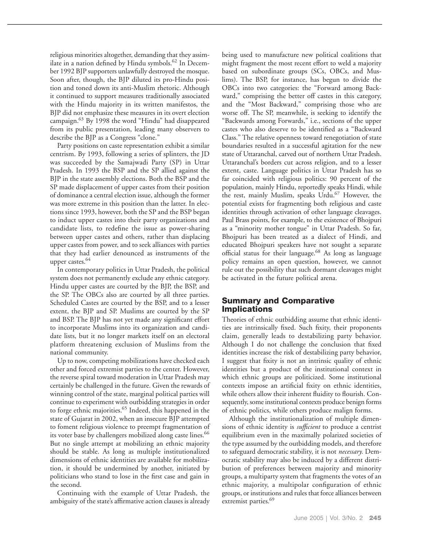religious minorities altogether, demanding that they assimilate in a nation defined by Hindu symbols.<sup>62</sup> In December 1992 BJP supporters unlawfully destroyed the mosque. Soon after, though, the BJP diluted its pro-Hindu position and toned down its anti-Muslim rhetoric. Although it continued to support measures traditionally associated with the Hindu majority in its written manifestos, the BJP did not emphasize these measures in its overt election campaign.63 By 1998 the word "Hindu" had disappeared from its public presentation, leading many observers to describe the BJP as a Congress "clone."

Party positions on caste representation exhibit a similar centrism. By 1993, following a series of splinters, the JD was succeeded by the Samajwadi Party (SP) in Uttar Pradesh. In 1993 the BSP and the SP allied against the BJP in the state assembly elections. Both the BSP and the SP made displacement of upper castes from their position of dominance a central election issue, although the former was more extreme in this position than the latter. In elections since 1993, however, both the SP and the BSP began to induct upper castes into their party organizations and candidate lists, to redefine the issue as power-sharing between upper castes and others, rather than displacing upper castes from power, and to seek alliances with parties that they had earlier denounced as instruments of the upper castes.<sup>64</sup>

In contemporary politics in Uttar Pradesh, the political system does not permanently exclude any ethnic category. Hindu upper castes are courted by the BJP, the BSP, and the SP. The OBCs also are courted by all three parties. Scheduled Castes are courted by the BSP, and to a lesser extent, the BJP and SP. Muslims are courted by the SP and BSP. The BJP has not yet made any significant effort to incorporate Muslims into its organization and candidate lists, but it no longer markets itself on an electoral platform threatening exclusion of Muslims from the national community.

Up to now, competing mobilizations have checked each other and forced extremist parties to the center. However, the reverse spiral toward moderation in Uttar Pradesh may certainly be challenged in the future. Given the rewards of winning control of the state, marginal political parties will continue to experiment with outbidding strategies in order to forge ethnic majorities.<sup>65</sup> Indeed, this happened in the state of Gujarat in 2002, when an insecure BJP attempted to foment religious violence to preempt fragmentation of its voter base by challengers mobilized along caste lines.<sup>66</sup> But no single attempt at mobilizing an ethnic majority should be stable. As long as multiple institutionalized dimensions of ethnic identities are available for mobilization, it should be undermined by another, initiated by politicians who stand to lose in the first case and gain in the second.

Continuing with the example of Uttar Pradesh, the ambiguity of the state's affirmative action clauses is already being used to manufacture new political coalitions that might fragment the most recent effort to weld a majority based on subordinate groups (SCs, OBCs, and Muslims). The BSP, for instance, has begun to divide the OBCs into two categories: the "Forward among Backward," comprising the better off castes in this category, and the "Most Backward," comprising those who are worse off. The SP, meanwhile, is seeking to identify the "Backwards among Forwards," i.e., sections of the upper castes who also deserve to be identified as a "Backward Class." The relative openness toward renegotiation of state boundaries resulted in a successful agitation for the new state of Uttaranchal, carved out of northern Uttar Pradesh. Uttaranchal's borders cut across religion, and to a lesser extent, caste. Language politics in Uttar Pradesh has so far coincided with religious politics: 90 percent of the population, mainly Hindu, reportedly speaks Hindi, while the rest, mainly Muslim, speaks Urdu.<sup>67</sup> However, the potential exists for fragmenting both religious and caste identities through activation of other language cleavages. Paul Brass points, for example, to the existence of Bhojpuri as a "minority mother tongue" in Uttar Pradesh. So far, Bhojpuri has been treated as a dialect of Hindi, and educated Bhojpuri speakers have not sought a separate official status for their language.<sup>68</sup> As long as language policy remains an open question, however, we cannot rule out the possibility that such dormant cleavages might be activated in the future political arena.

# **Summary and Comparative Implications**

Theories of ethnic outbidding assume that ethnic identities are intrinsically fixed. Such fixity, their proponents claim, generally leads to destabilizing party behavior. Although I do not challenge the conclusion that fixed identities increase the risk of destabilizing party behavior, I suggest that fixity is not an intrinsic quality of ethnic identities but a product of the institutional context in which ethnic groups are politicized. Some institutional contexts impose an artificial fixity on ethnic identities, while others allow their inherent fluidity to flourish. Consequently, some institutional contexts produce benign forms of ethnic politics, while others produce malign forms.

Although the institutionalization of multiple dimensions of ethnic identity is *sufficient* to produce a centrist equilibrium even in the maximally polarized societies of the type assumed by the outbidding models, and therefore to safeguard democratic stability, it is not *necessary.* Democratic stability may also be induced by a different distribution of preferences between majority and minority groups, a multiparty system that fragments the votes of an ethnic majority, a multipolar configuration of ethnic groups, or institutions and rules that force alliances between extremist parties.<sup>69</sup>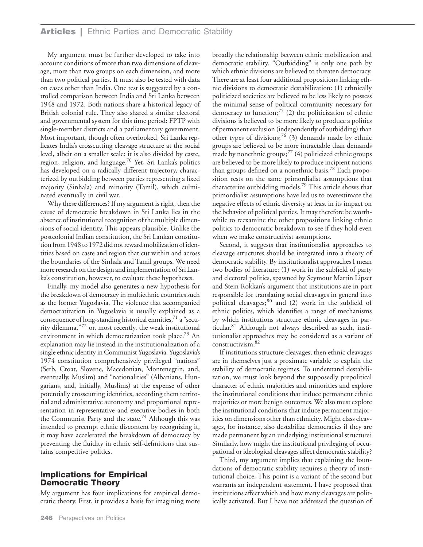## **Articles |** Ethnic Parties and Democratic Stability

My argument must be further developed to take into account conditions of more than two dimensions of cleavage, more than two groups on each dimension, and more than two political parties. It must also be tested with data on cases other than India. One test is suggested by a controlled comparison between India and Sri Lanka between 1948 and 1972. Both nations share a historical legacy of British colonial rule. They also shared a similar electoral and governmental system for this time period: FPTP with single-member districts and a parliamentary government. Most important, though often overlooked, Sri Lanka replicates India's crosscutting cleavage structure at the social level, albeit on a smaller scale: it is also divided by caste, region, religion, and language.<sup>70</sup> Yet, Sri Lanka's politics has developed on a radically different trajectory, characterized by outbidding between parties representing a fixed majority (Sinhala) and minority (Tamil), which culminated eventually in civil war.

Why these differences? If my argument is right, then the cause of democratic breakdown in Sri Lanka lies in the absence of institutional recognition of the multiple dimensions of social identity. This appears plausible. Unlike the postcolonial Indian constitution, the Sri Lankan constitution from 1948 to 1972 did not reward mobilization of identities based on caste and region that cut within and across the boundaries of the Sinhala and Tamil groups. We need more research on the design and implementation of Sri Lanka's constitution, however, to evaluate these hypotheses.

Finally, my model also generates a new hypothesis for the breakdown of democracy in multiethnic countries such as the former Yugoslavia. The violence that accompanied democratization in Yugoslavia is usually explained as a consequence of long-standing historical enmities, $71$  a "security dilemma,"<sup>72</sup> or, most recently, the weak institutional environment in which democratization took place.<sup>73</sup> An explanation may lie instead in the institutionalization of a single ethnic identity in Communist Yugoslavia. Yugoslavia's 1974 constitution comprehensively privileged "nations" (Serb, Croat, Slovene, Macedonian, Montenegrin, and, eventually, Muslim) and "nationalities" (Albanians, Hungarians, and, initially, Muslims) at the expense of other potentially crosscutting identities, according them territorial and administrative autonomy and proportional representation in representative and executive bodies in both the Communist Party and the state.<sup>74</sup> Although this was intended to preempt ethnic discontent by recognizing it, it may have accelerated the breakdown of democracy by preventing the fluidity in ethnic self-definitions that sustains competitive politics.

# **Implications for Empirical Democratic Theory**

My argument has four implications for empirical democratic theory. First, it provides a basis for imagining more broadly the relationship between ethnic mobilization and democratic stability. "Outbidding" is only one path by which ethnic divisions are believed to threaten democracy. There are at least four additional propositions linking ethnic divisions to democratic destabilization: (1) ethnically politicized societies are believed to be less likely to possess the minimal sense of political community necessary for democracy to function; $^{75}$  (2) the politicization of ethnic divisions is believed to be more likely to produce a politics of permanent exclusion (independently of outbidding) than other types of divisions;<sup>76</sup> (3) demands made by ethnic groups are believed to be more intractable than demands made by nonethnic groups; $^{77}$  (4) politicized ethnic groups are believed to be more likely to produce incipient nations than groups defined on a nonethnic basis.<sup>78</sup> Each proposition rests on the same primordialist assumptions that characterize outbidding models.79 This article shows that primordialist assumptions have led us to overestimate the negative effects of ethnic diversity at least in its impact on the behavior of political parties. It may therefore be worthwhile to reexamine the other propositions linking ethnic politics to democratic breakdown to see if they hold even when we make constructivist assumptions.

Second, it suggests that institutionalist approaches to cleavage structures should be integrated into a theory of democratic stability. By institutionalist approaches I mean two bodies of literature: (1) work in the subfield of party and electoral politics, spawned by Seymour Martin Lipset and Stein Rokkan's argument that institutions are in part responsible for translating social cleavages in general into political cleavages; $80$  and (2) work in the subfield of ethnic politics, which identifies a range of mechanisms by which institutions structure ethnic cleavages in particular.81 Although not always described as such, institutionalist approaches may be considered as a variant of constructivism.82

If institutions structure cleavages, then ethnic cleavages are in themselves just a proximate variable to explain the stability of democratic regimes. To understand destabilization, we must look beyond the supposedly prepolitical character of ethnic majorities and minorities and explore the institutional conditions that induce permanent ethnic majorities or more benign outcomes. We also must explore the institutional conditions that induce permanent majorities on dimensions other than ethnicity. Might class cleavages, for instance, also destabilize democracies if they are made permanent by an underlying institutional structure? Similarly, how might the institutional privileging of occupational or ideological cleavages affect democratic stability?

Third, my argument implies that explaining the foundations of democratic stability requires a theory of institutional choice. This point is a variant of the second but warrants an independent statement. I have proposed that institutions affect which and how many cleavages are politically activated. But I have not addressed the question of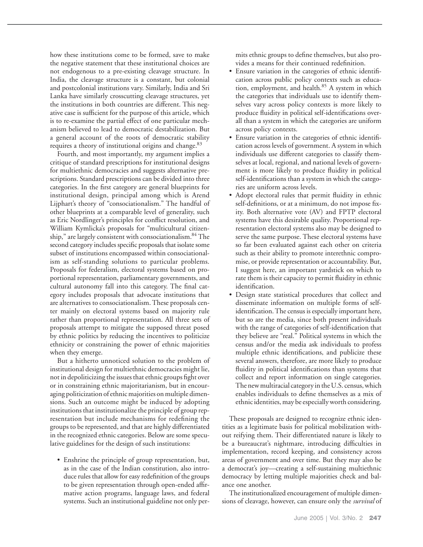how these institutions come to be formed, save to make the negative statement that these institutional choices are not endogenous to a pre-existing cleavage structure. In India, the cleavage structure is a constant, but colonial and postcolonial institutions vary. Similarly, India and Sri Lanka have similarly crosscutting cleavage structures, yet the institutions in both countries are different. This negative case is sufficient for the purpose of this article, which is to re-examine the partial effect of one particular mechanism believed to lead to democratic destabilization. But a general account of the roots of democratic stability requires a theory of institutional origins and change.<sup>83</sup>

Fourth, and most importantly, my argument implies a critique of standard prescriptions for institutional designs for multiethnic democracies and suggests alternative prescriptions. Standard prescriptions can be divided into three categories. In the first category are general blueprints for institutional design, principal among which is Arend Lijphart's theory of "consociationalism." The handful of other blueprints at a comparable level of generality, such as Eric Nordlinger's principles for conflict resolution, and William Kymlicka's proposals for "multicultural citizenship," are largely consistent with consociationalism.<sup>84</sup> The second category includes specific proposals that isolate some subset of institutions encompassed within consociationalism as self-standing solutions to particular problems. Proposals for federalism, electoral systems based on proportional representation, parliamentary governments, and cultural autonomy fall into this category. The final category includes proposals that advocate institutions that are alternatives to consociationalism. These proposals center mainly on electoral systems based on majority rule rather than proportional representation. All three sets of proposals attempt to mitigate the supposed threat posed by ethnic politics by reducing the incentives to politicize ethnicity or constraining the power of ethnic majorities when they emerge.

But a hitherto unnoticed solution to the problem of institutional design for multiethnic democracies might lie, not in depoliticizing the issues that ethnic groups fight over or in constraining ethnic majoritarianism, but in encouraging politicization of ethnic majorities on multiple dimensions. Such an outcome might be induced by adopting institutions that institutionalize the principle of group representation but include mechanisms for redefining the groups to be represented, and that are highly differentiated in the recognized ethnic categories. Below are some speculative guidelines for the design of such institutions:

• Enshrine the principle of group representation, but, as in the case of the Indian constitution, also introduce rules that allow for easy redefinition of the groups to be given representation through open-ended affirmative action programs, language laws, and federal systems. Such an institutional guideline not only permits ethnic groups to define themselves, but also provides a means for their continued redefinition.

- Ensure variation in the categories of ethnic identification across public policy contexts such as education, employment, and health.<sup>85</sup> A system in which the categories that individuals use to identify themselves vary across policy contexts is more likely to produce fluidity in political self-identifications overall than a system in which the categories are uniform across policy contexts.
- Ensure variation in the categories of ethnic identification across levels of government. A system in which individuals use different categories to classify themselves at local, regional, and national levels of government is more likely to produce fluidity in political self-identifications than a system in which the categories are uniform across levels.
- Adopt electoral rules that permit fluidity in ethnic self-definitions, or at a minimum, do not impose fixity. Both alternative vote (AV) and FPTP electoral systems have this desirable quality. Proportional representation electoral systems also may be designed to serve the same purpose. These electoral systems have so far been evaluated against each other on criteria such as their ability to promote interethnic compromise, or provide representation or accountability. But, I suggest here, an important yardstick on which to rate them is their capacity to permit fluidity in ethnic identification.
- Design state statistical procedures that collect and disseminate information on multiple forms of selfidentification. The census is especially important here, but so are the media, since both present individuals with the range of categories of self-identification that they believe are "real." Political systems in which the census and/or the media ask individuals to profess multiple ethnic identifications, and publicize these several answers, therefore, are more likely to produce fluidity in political identifications than systems that collect and report information on single categories. The new multiracial category in the U.S. census, which enables individuals to define themselves as a mix of ethnic identities, may be especially worth considering.

These proposals are designed to recognize ethnic identities as a legitimate basis for political mobilization without reifying them. Their differentiated nature is likely to be a bureaucrat's nightmare, introducing difficulties in implementation, record keeping, and consistency across areas of government and over time. But they may also be a democrat's joy—creating a self-sustaining multiethnic democracy by letting multiple majorities check and balance one another.

The institutionalized encouragement of multiple dimensions of cleavage, however, can ensure only the *survival* of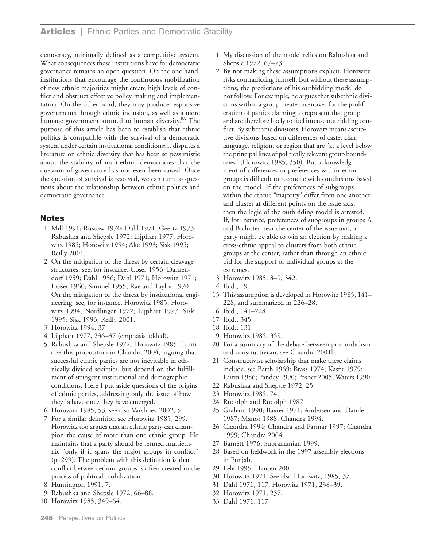# **Articles |** Ethnic Parties and Democratic Stability

democracy, minimally defined as a competitive system. What consequences these institutions have for democratic governance remains an open question. On the one hand, institutions that encourage the continuous mobilization of new ethnic majorities might create high levels of conflict and obstruct effective policy making and implementation. On the other hand, they may produce responsive governments through ethnic inclusion, as well as a more humane government attuned to human diversity.<sup>86</sup> The purpose of this article has been to establish that ethnic politics is compatible with the survival of a democratic system under certain institutional conditions; it disputes a literature on ethnic diversity that has been so pessimistic about the stability of multiethnic democracies that the question of governance has not even been raised. Once the question of survival is resolved, we can turn to questions about the relationship between ethnic politics and democratic governance.

## **Notes**

- 1 Mill 1991; Rustow 1970; Dahl 1971; Geertz 1973; Rabushka and Shepsle 1972; Lijphart 1977; Horowitz 1985; Horowitz 1994; Ake 1993; Sisk 1995; Reilly 2001.
- 2 On the mitigation of the threat by certain cleavage structures, see, for instance, Coser 1956; Dahrendorf 1959; Dahl 1956; Dahl 1971; Horowitz 1971; Lipset 1960; Simmel 1955; Rae and Taylor 1970. On the mitigation of the threat by institutional engineering, see, for instance, Horowitz 1985; Horowitz 1994; Nordlinger 1972; Lijphart 1977; Sisk 1995; Sisk 1996; Reilly 2001.
- 3 Horowitz 1994, 37.
- 4 Lijphart 1977, 236–37 (emphasis added).
- 5 Rabushka and Shepsle 1972; Horowitz 1985. I criticize this proposition in Chandra 2004, arguing that successful ethnic parties are not inevitable in ethnically divided societies, but depend on the fulfillment of stringent institutional and demographic conditions. Here I put aside questions of the origins of ethnic parties, addressing only the issue of how they behave once they have emerged.
- 6 Horowitz 1985, 53; see also Varshney 2002, 5.
- 7 For a similar definition see Horowitz 1985, 299. Horowitz too argues that an ethnic party can champion the cause of more than one ethnic group. He maintains that a party should be termed multiethnic "only if it spans the major groups in conflict" (p. 299). The problem with this definition is that conflict between ethnic groups is often created in the process of political mobilization.
- 8 Huntington 1991, 7.
- 9 Rabushka and Shepsle 1972, 66–88.
- 10 Horowitz 1985, 349–64.
- 11 My discussion of the model relies on Rabushka and Shepsle 1972, 67–73.
- 12 By not making these assumptions explicit, Horowitz risks contradicting himself. But without these assumptions, the predictions of his outbidding model do not follow. For example, he argues that subethnic divisions within a group create incentives for the proliferation of parties claiming to represent that group and are therefore likely to fuel intense outbidding conflict. By subethnic divisions, Horowitz means ascriptive divisions based on differences of caste, clan, language, religion, or region that are "at a level below the principal lines of politically relevant group boundaries" (Horowitz 1985, 350). But acknowledgment of differences in preferences within ethnic groups is difficult to reconcile with conclusions based on the model. If the preferences of subgroups within the ethnic "majority" differ from one another and cluster at different points on the issue axis, then the logic of the outbidding model is arrested. If, for instance, preferences of subgroups in groups A and B cluster near the center of the issue axis, a party might be able to win an election by making a cross-ethnic appeal to clusters from both ethnic groups at the center, rather than through an ethnic bid for the support of individual groups at the extremes.
- 13 Horowitz 1985, 8–9, 342.
- 14 Ibid., 19.
- 15 This assumption is developed in Horowitz 1985, 141– 228, and summarized in 226–28.
- 16 Ibid., 141–228.
- 17 Ibid., 345.
- 18 Ibid., 131.
- 19 Horowitz 1985, 359.
- 20 For a summary of the debate between primordialism and constructivism, see Chandra 2001b.
- 21 Constructivist scholarship that make these claims include, see Barth 1969; Brass 1974; Kasfir 1979; Laitin 1986; Pandey 1990; Posner 2005; Waters 1990.
- 22 Rabushka and Shepsle 1972, 25.
- 23 Horowitz 1985, 74.
- 24 Rudolph and Rudolph 1987.
- 25 Graham 1990; Baxter 1971; Andersen and Damle 1987; Manor 1988; Chandra 1994.
- 26 Chandra 1994; Chandra and Parmar 1997; Chandra 1999; Chandra 2004.
- 27 Barnett 1976; Subramanian 1999.
- 28 Based on fieldwork in the 1997 assembly elections in Punjab.
- 29 Lele 1995; Hansen 2001.
- 30 Horowitz 1971. See also Horowitz, 1985, 37.
- 31 Dahl 1971, 117; Horowitz 1971, 238–39.
- 32 Horowitz 1971, 237.
- 33 Dahl 1971, 117.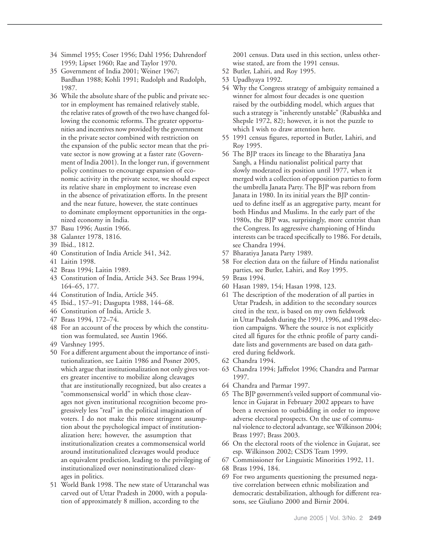- 34 Simmel 1955; Coser 1956; Dahl 1956; Dahrendorf 1959; Lipset 1960; Rae and Taylor 1970.
- 35 Government of India 2001; Weiner 1967; Bardhan 1988; Kohli 1991; Rudolph and Rudolph, 1987.
- 36 While the absolute share of the public and private sector in employment has remained relatively stable, the relative rates of growth of the two have changed following the economic reforms. The greater opportunities and incentives now provided by the government in the private sector combined with restriction on the expansion of the public sector mean that the private sector is now growing at a faster rate (Government of India 2001). In the longer run, if government policy continues to encourage expansion of economic activity in the private sector, we should expect its relative share in employment to increase even in the absence of privatization efforts. In the present and the near future, however, the state continues to dominate employment opportunities in the organized economy in India.
- 37 Basu 1996; Austin 1966.
- 38 Galanter 1978, 1816.
- 39 Ibid., 1812.
- 40 Constitution of India Article 341, 342.
- 41 Laitin 1998.
- 42 Brass 1994; Laitin 1989.
- 43 Constitution of India, Article 343. See Brass 1994, 164–65, 177.
- 44 Constitution of India, Article 345.
- 45 Ibid., 157–91; Dasgupta 1988, 144–68.
- 46 Constitution of India, Article 3.
- 47 Brass 1994, 172–74.
- 48 For an account of the process by which the constitution was formulated, see Austin 1966.
- 49 Varshney 1995.
- 50 For a different argument about the importance of institutionalization, see Laitin 1986 and Posner 2005, which argue that institutionalization not only gives voters greater incentive to mobilize along cleavages that are institutionally recognized, but also creates a "commonsensical world" in which those cleavages not given institutional recognition become progressively less "real" in the political imagination of voters. I do not make this more stringent assumption about the psychological impact of institutionalization here; however, the assumption that institutionalization creates a commonsensical world around institutionalized cleavages would produce an equivalent prediction, leading to the privileging of institutionalized over noninstitutionalized cleavages in politics.
- 51 World Bank 1998. The new state of Uttaranchal was carved out of Uttar Pradesh in 2000, with a population of approximately 8 million, according to the

2001 census. Data used in this section, unless otherwise stated, are from the 1991 census.

- 52 Butler, Lahiri, and Roy 1995.
- 53 Upadhyaya 1992.
- 54 Why the Congress strategy of ambiguity remained a winner for almost four decades is one question raised by the outbidding model, which argues that such a strategy is "inherently unstable" (Rabushka and Shepsle 1972, 82); however, it is not the puzzle to which I wish to draw attention here.
- 55 1991 census figures, reported in Butler, Lahiri, and Roy 1995.
- 56 The BJP traces its lineage to the Bharatiya Jana Sangh, a Hindu nationalist political party that slowly moderated its position until 1977, when it merged with a collection of opposition parties to form the umbrella Janata Party. The BJP was reborn from Janata in 1980. In its initial years the BJP continued to define itself as an aggregative party, meant for both Hindus and Muslims. In the early part of the 1980s, the BJP was, surprisingly, more centrist than the Congress. Its aggressive championing of Hindu interests can be traced specifically to 1986. For details, see Chandra 1994.
- 57 Bharatiya Janata Party 1989.
- 58 For election data on the failure of Hindu nationalist parties, see Butler, Lahiri, and Roy 1995.
- 59 Brass 1994.
- 60 Hasan 1989, 154; Hasan 1998, 123.
- 61 The description of the moderation of all parties in Uttar Pradesh, in addition to the secondary sources cited in the text, is based on my own fieldwork in Uttar Pradesh during the 1991, 1996, and 1998 election campaigns. Where the source is not explicitly cited all figures for the ethnic profile of party candidate lists and governments are based on data gathered during fieldwork.
- 62 Chandra 1994.
- 63 Chandra 1994; Jaffrelot 1996; Chandra and Parmar 1997.
- 64 Chandra and Parmar 1997.
- 65 The BJP government's veiled support of communal violence in Gujarat in February 2002 appears to have been a reversion to outbidding in order to improve adverse electoral prospects. On the use of communal violence to electoral advantage, see Wilkinson 2004; Brass 1997; Brass 2003.
- 66 On the electoral roots of the violence in Gujarat, see esp. Wilkinson 2002; CSDS Team 1999.
- 67 Commissioner for Linguistic Minorities 1992, 11.
- 68 Brass 1994, 184.
- 69 For two arguments questioning the presumed negative correlation between ethnic mobilization and democratic destabilization, although for different reasons, see Giuliano 2000 and Birnir 2004.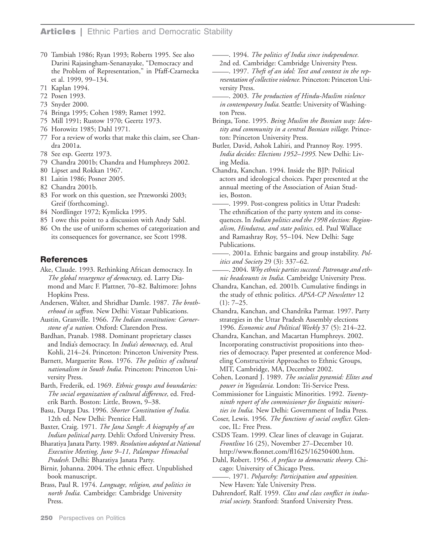- 70 Tambiah 1986; Ryan 1993; Roberts 1995. See also Darini Rajasingham-Senanayake, "Democracy and the Problem of Representation," in Pfaff-Czarnecka et al. 1999, 99–134.
- 71 Kaplan 1994.
- 72 Posen 1993.
- 73 Snyder 2000.
- 74 Bringa 1995; Cohen 1989; Ramet 1992.
- 75 Mill 1991; Rustow 1970; Geertz 1973.
- 76 Horowitz 1985; Dahl 1971.
- 77 For a review of works that make this claim, see Chandra 2001a.
- 78 See esp. Geertz 1973.
- 79 Chandra 2001b; Chandra and Humphreys 2002.
- 80 Lipset and Rokkan 1967.
- 81 Laitin 1986; Posner 2005.
- 82 Chandra 2001b.
- 83 For work on this question, see Przeworski 2003; Greif (forthcoming).
- 84 Nordlinger 1972; Kymlicka 1995.
- 85 I owe this point to a discussion with Andy Sabl.
- 86 On the use of uniform schemes of categorization and its consequences for governance, see Scott 1998.

# **References**

- Ake, Claude. 1993. Rethinking African democracy. In *The global resurgence of democracy,* ed. Larry Diamond and Marc F. Plattner, 70–82. Baltimore: Johns Hopkins Press.
- Andersen, Walter, and Shridhar Damle. 1987. *The brotherhood in saffron.* New Delhi: Vistaar Publications.
- Austin, Granville. 1966. *The Indian constitution: Cornerstone of a nation.* Oxford: Clarendon Press.
- Bardhan, Pranab. 1988. Dominant proprietary classes and India's democracy. In *India's democracy,* ed. Atul Kohli, 214–24. Princeton: Princeton University Press.
- Barnett, Marguerite Ross. 1976. *The politics of cultural nationalism in South India.* Princeton: Princeton University Press.

Barth, Frederik, ed. 1969. *Ethnic groups and boundaries: The social organization of cultural difference,* ed. Frederik Barth. Boston: Little, Brown, 9–38.

Basu, Durga Das. 1996. *Shorter Constitution of India.* 12th ed. New Delhi: Prentice Hall.

Baxter, Craig. 1971. *The Jana Sangh: A biography of an Indian political party.* Dehli: Oxford University Press.

Bharatiya Janata Party. 1989. *Resolution adopted at National Executive Meeting, June 9–11, Palampur Himachal Pradesh.* Delhi: Bharatiya Janata Party.

Birnir, Johanna. 2004. The ethnic effect. Unpublished book manuscript.

Brass, Paul R. 1974. *Language, religion, and politics in north India.* Cambridge: Cambridge University Press.

\_. 1994. *The politics of India since independence.*

. 1997. Theft of an idol: Text and context in the rep*resentation of collective violence.* Princeton: Princeton Uni-

versity Press. \_. 2003. *The production of Hindu-Muslim violence in contemporary India.* Seattle: University of Washington Press.

Bringa, Tone. 1995. *Being Muslim the Bosnian way: Identity and community in a central Bosnian village.* Princeton: Princeton University Press.

Butler, David, Ashok Lahiri, and Prannoy Roy. 1995*. India decides: Elections 1952–1995.* New Delhi: Living Media.

Chandra, Kanchan. 1994. Inside the BJP: Political actors and ideological choices. Paper presented at the annual meeting of the Association of Asian Stud-<br>ies, Boston.<br>1999. Post-congress politics in Uttar Pradesh:<br>The ethnification of the party system and its conser

The ethnification of the party system and its consequences. In *Indian politics and the 1998 election: Regionalism, Hindutva, and state politics,* ed. Paul Wallace and Ramashray Roy, 55–104. New Delhi: Sage<br>Publications.<br>2001a. Ethnic bargains and group instability. *Pol-*<br>itics and Society 29 (3): 337–62

Publications.<br>— 2001a. Ethnic bargains and group instability. *Politics and Society* 29 (3): 337–62.<br>— 2004. *Why ethnic parties succeed: Patronage and eth-*

*nic headcounts in India.* Cambridge University Press.

Chandra, Kanchan, ed. 2001b. Cumulative findings in the study of ethnic politics. *APSA-CP Newsletter* 12  $(1): 7-25.$ 

Chandra, Kanchan, and Chandrika Parmar. 1997. Party strategies in the Uttar Pradesh Assembly elections 1996. *Economic and Political Weekly* 37 (5): 214–22.

- Chandra, Kanchan, and Macartan Humphreys. 2002. Incorporating constructivist propositions into theories of democracy. Paper presented at conference Modeling Constructivist Approaches to Ethnic Groups, MIT, Cambridge, MA, December 2002.
- Cohen, Leonard J. 1989. *The socialist pyramid: Elites and power in Yugoslavia.* London: Tri-Service Press.
- Commissioner for Linguistic Minorities. 1992. *Twentyninth report of the commissioner for linguistic minorities in India.* New Delhi: Government of India Press.
- Coser, Lewis. 1956. *The functions of social conflict.* Glencoe, IL: Free Press.

CSDS Team. 1999. Clear lines of cleavage in Gujarat. *Frontline* 16 (25), November 27–December 10. http://www.flonnet.com/fl1625/16250400.htm.

ntip://www.homict.com/11625/16250400.html<br>Dahl, Robert. 1956. *A preface to democratic theory*. Chi-<br>cago: University of Chicago Press.<br>\_\_\_\_\_\_\_. 1971. *Polyarchy: Participation and opposition*.<br>New Haven: Yale University P

New Haven: Yale University Press.

Dahrendorf, Ralf. 1959. *Class and class conflict in industrial society.* Stanford: Stanford University Press.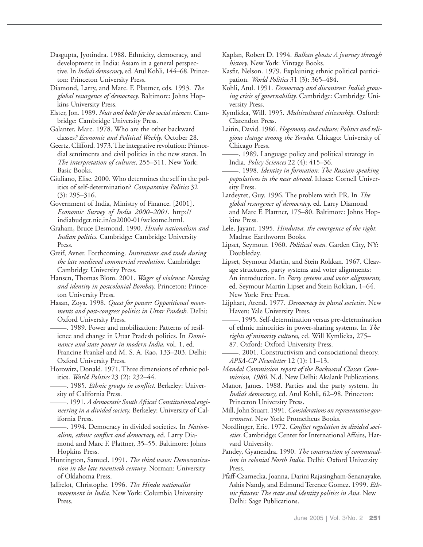Dasgupta, Jyotindra. 1988. Ethnicity, democracy, and development in India: Assam in a general perspective. In *India's democracy,*ed. Atul Kohli, 144–68. Princeton: Princeton University Press.

Diamond, Larry, and Marc. F. Plattner, eds. 1993. *The global resurgence of democracy.* Baltimore: Johns Hopkins University Press.

- Elster, Jon. 1989. *Nuts and bolts for the social sciences.* Cambridge: Cambridge University Press.
- Galanter, Marc. 1978. Who are the other backward classes*? Economic and Political Weekly,* October 28.

Geertz, Clifford. 1973. The integrative revolution: Primordial sentiments and civil politics in the new states. In *The interpretation of cultures,* 255–311. New York: Basic Books.

Giuliano, Elise. 2000. Who determines the self in the politics of self-determination? *Comparative Politics* 32 (3): 295–316.

Government of India, Ministry of Finance. [2001]. *Economic Survey of India 2000–2001.* http:// indiabudget.nic.in/es2000-01/welcome.html.

Graham, Bruce Desmond. 1990. *Hindu nationalism and Indian politics.* Cambridge: Cambridge University Press.

Greif, Avner. Forthcoming. *Institutions and trade during the late medieval commercial revolution.* Cambridge: Cambridge University Press.

Hansen, Thomas Blom. 2001. *Wages of violence: Naming and identity in postcolonial Bombay.* Princeton: Princeton University Press.

Hasan, Zoya. 1998. *Quest for power: Oppositional movements and post-congress politics in Uttar Pradesh.* Delhi:<br>Oxford University Press.<br>2008. Power and mobilization: Patterns of resil-<br>ience and change in Uttar Pradesh politics. In Dami-

ience and change in Uttar Pradesh politics. In *Dominance and state power in modern India,* vol. 1, ed. Francine Frankel and M. S. A. Rao, 133–203. Delhi: Oxford University Press.

Horowitz, Donald. 1971. Three dimensions of ethnic pol-itics. *World Politics* 23 (2): 232–44. \_. 1985. *Ethnic groups in conflict.* Berkeley: Univer-

itics. *World Politics* 23 (2): 232–44.<br>— 1985. *Ethnic groups in conflict*. Berkeley: University of California Press.<br>— 1991. *A democratic South Africa? Constitutional engi*-

*neering in a divided society.* Berkeley: University of Cal-ifornia Press. \_. 1994. Democracy in divided societies. In *Nation-*

*alism, ethnic conflict and democracy,* ed. Larry Diamond and Marc F. Plattner, 35–55. Baltimore: Johns Hopkins Press.

Huntington, Samuel. 1991. *The third wave: Democratization in the late twentieth century.* Norman: University of Oklahoma Press.

Jaffrelot, Christophe. 1996. *The Hindu nationalist movement in India.* New York: Columbia University Press.

Kaplan, Robert D. 1994. *Balkan ghosts: A journey through history.* New York: Vintage Books.

Kasfir, Nelson. 1979. Explaining ethnic political participation. *World Politics* 31 (3): 365–484.

- Kohli, Atul. 1991. *Democracy and discontent: India's growing crisis of governability.* Cambridge: Cambridge University Press.
- Kymlicka, Will. 1995. *Multicultural citizenship.* Oxford: Clarendon Press.

Laitin, David. 1986. *Hegemony and culture: Politics and religious change among the Yoruba.* Chicago: University of<br> *gious change among the Yoruba*. Chicago: University of<br>
Chicago Press.<br>
<u>India Policy Sciences</u> 22 (4): 415–36

Chicago Press.<br>— 1989. Language policy and political strategy in India. *Policy Sciences* 22 (4): 415–36.<br>— 1998. *Identity in formation: The Russian-speaking* 

*populations in the near abroad.* Ithaca: Cornell University Press.

Lardeyret, Guy. 1996. The problem with PR. In *The global resurgence of democracy,* ed. Larry Diamond and Marc F. Plattner, 175–80. Baltimore: Johns Hopkins Press.

Lele, Jayant. 1995. *Hindutva, the emergence of the right.* Madras: Earthworm Books.

Lipset, Seymour. 1960. *Political man.* Garden City, NY: Doubleday.

Lipset, Seymour Martin, and Stein Rokkan. 1967. Cleavage structures, party systems and voter alignments: An introduction. In *Party systems and voter alignments,* ed. Seymour Martin Lipset and Stein Rokkan, 1–64. New York: Free Press.

of ethnic minorities in power-sharing systems. In *The rights of minority cultures,* ed. Will Kymlicka, 275–

87. Oxford: Oxford University Press.<br>— 2001. Constructivism and consociational theory. *APSA-CP Newsletter* 12 (1): 11–13.

*Mandal Commission report of the Backward Classes Commission, 1980.* N.d. New Delhi: Akalank Publications.

Manor, James. 1988. Parties and the party system. In *India's democracy,* ed. Atul Kohli, 62–98. Princeton: Princeton University Press.

- Mill, John Stuart. 1991. *Considerations on representative government.* New York: Prometheus Books.
- Nordlinger, Eric. 1972. *Conflict regulation in divided societies.* Cambridge: Center for International Affairs, Harvard University.
- Pandey, Gyanendra. 1990. *The construction of communalism in colonial North India.* Delhi: Oxford University Press.
- Pfaff-Czarnecka, Joanna, Darini Rajasingham-Senanayake, Ashis Nandy, and Edmund Terence Gomez. 1999. *Ethnic futures: The state and identity politics in Asia.* New Delhi: Sage Publications.

Lijphart, Arend. 1977. *Democracy in plural societies*. New<br>Haven: Yale University Press.<br>————. 1995. Self-determination versus pre-determination<br>of ethnic minorities in power-sharing systems. In *The*